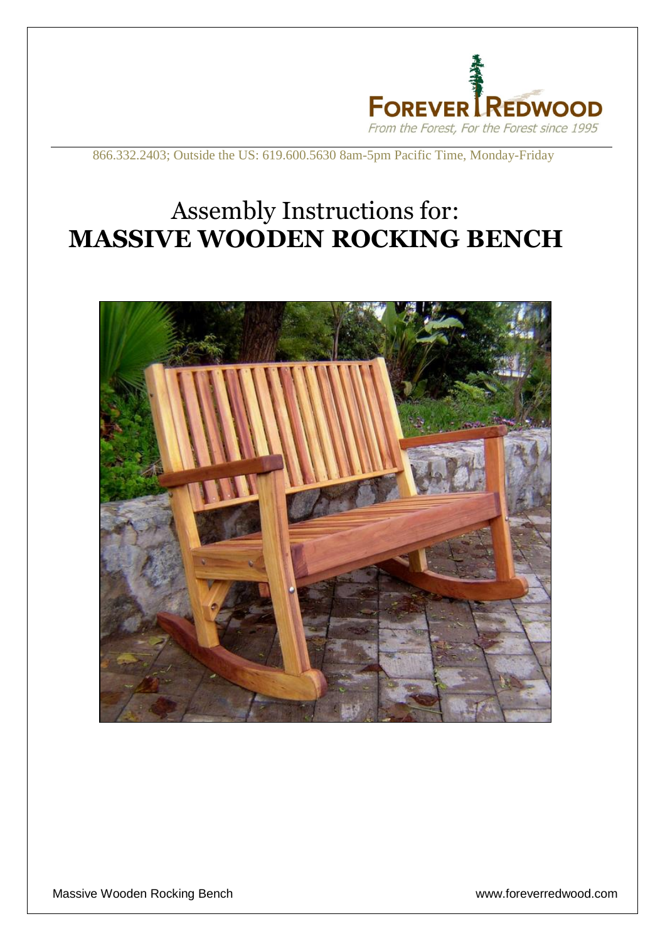

866.332.2403; Outside the US: 619.600.5630 8am-5pm Pacific Time, Monday-Friday

## Assembly Instructions for: **MASSIVE WOODEN ROCKING BENCH**



Massive Wooden Rocking Bench **With and Strutter and Strutter With an Intervention** www.foreverredwood.com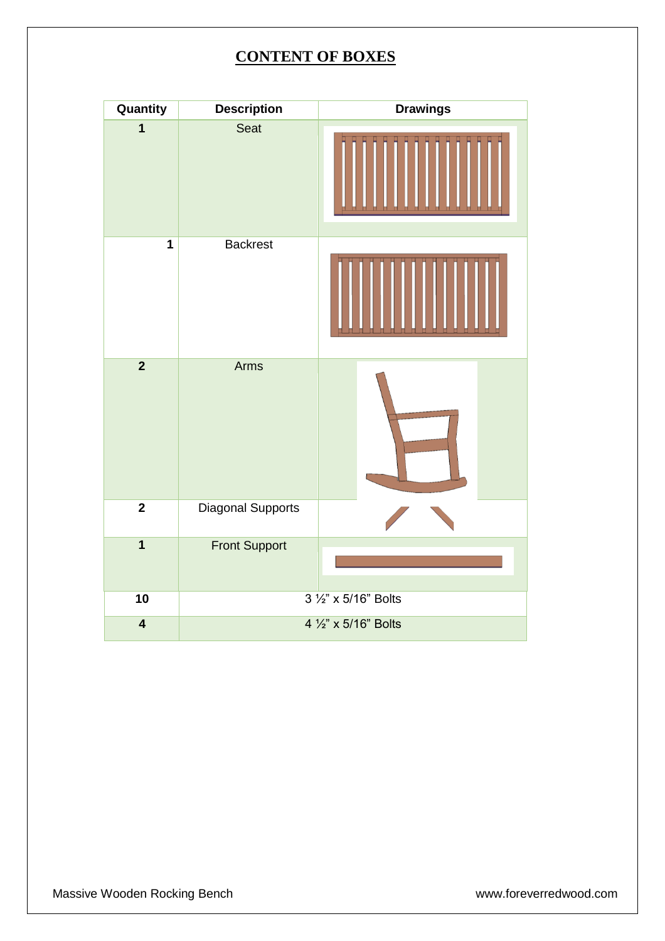## **CONTENT OF BOXES**

| Quantity                | <b>Description</b>       | <b>Drawings</b> |
|-------------------------|--------------------------|-----------------|
| $\mathbf{1}$            | Seat                     |                 |
| $\mathbf{1}$            | <b>Backrest</b>          |                 |
| $\overline{2}$          | Arms                     |                 |
| $\mathbf 2$             | <b>Diagonal Supports</b> |                 |
| $\overline{1}$          | <b>Front Support</b>     |                 |
| 10                      | 3 1/2" x 5/16" Bolts     |                 |
| $\overline{\mathbf{4}}$ | 4 1/2" x 5/16" Bolts     |                 |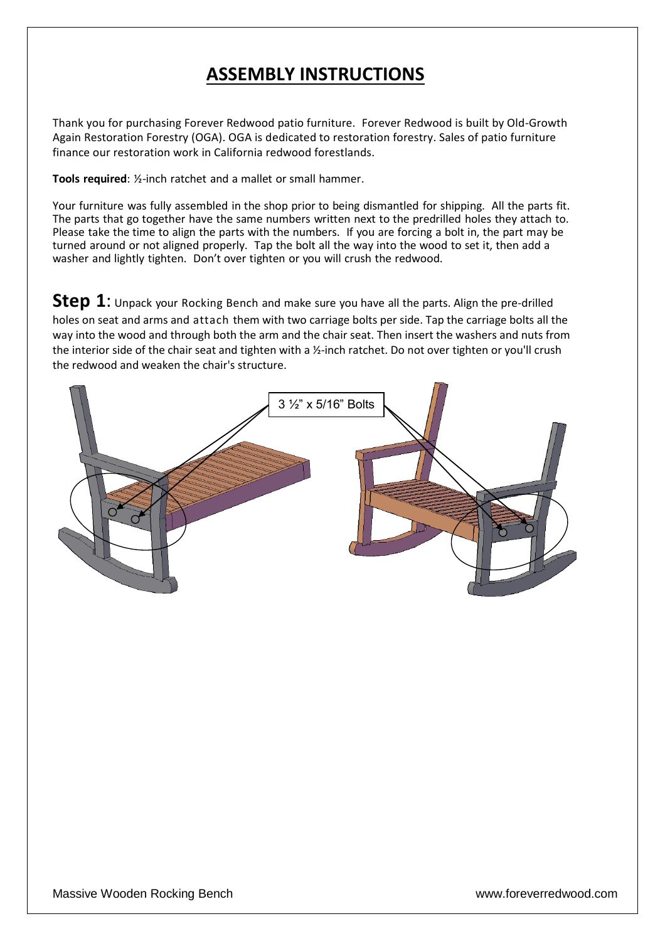## **ASSEMBLY INSTRUCTIONS**

Thank you for purchasing Forever Redwood patio furniture. Forever Redwood is built by Old-Growth Again Restoration Forestry (OGA). OGA is dedicated to restoration forestry. Sales of patio furniture finance our restoration work in California redwood forestlands.

**Tools required**: ½-inch ratchet and a mallet or small hammer.

Your furniture was fully assembled in the shop prior to being dismantled for shipping. All the parts fit. The parts that go together have the same numbers written next to the predrilled holes they attach to. Please take the time to align the parts with the numbers. If you are forcing a bolt in, the part may be turned around or not aligned properly. Tap the bolt all the way into the wood to set it, then add a washer and lightly tighten. Don't over tighten or you will crush the redwood.

**Step 1**: Unpack your Rocking Bench and make sure you have all the parts. Align the pre-drilled holes on seat and arms and attach them with two carriage bolts per side. Tap the carriage bolts all the way into the wood and through both the arm and the chair seat. Then insert the washers and nuts from the interior side of the chair seat and tighten with a ½-inch ratchet. Do not over tighten or you'll crush the redwood and weaken the chair's structure.

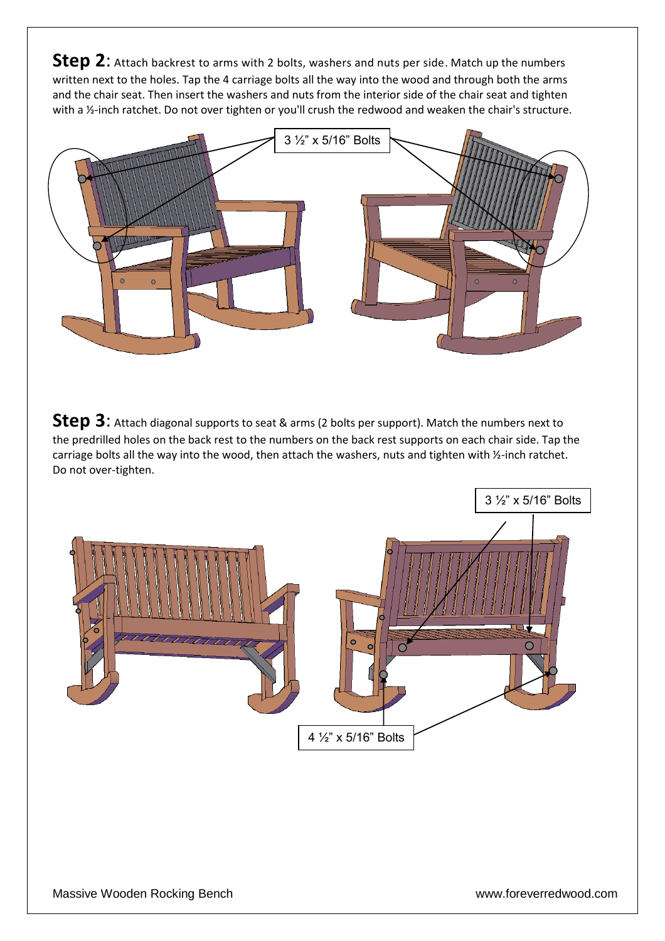**Step 2**: Attach backrest to arms with 2 bolts, washers and nuts per side. Match up the numbers written next to the holes. Tap the 4 carriage bolts all the way into the wood and through both the arms and the chair seat. Then insert the washers and nuts from the interior side of the chair seat and tighten with a 1/2-inch ratchet. Do not over tighten or you'll crush the redwood and weaken the chair's structure.



**Step 3**: Attach diagonal supports to seat & arms (2 bolts per support). Match the numbers next to the predrilled holes on the back rest to the numbers on the back rest supports on each chair side. Tap the carriage bolts all the way into the wood, then attach the washers, nuts and tighten with ½-inch ratchet. Do not over-tighten.